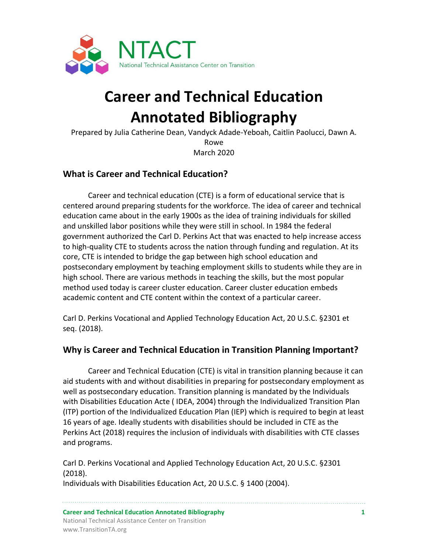

# **Career and Technical Education Annotated Bibliography**

Prepared by Julia Catherine Dean, Vandyck Adade-Yeboah, Caitlin Paolucci, Dawn A. Rowe March 2020

### **What is Career and Technical Education?**

Career and technical education (CTE) is a form of educational service that is centered around preparing students for the workforce. The idea of career and technical education came about in the early 1900s as the idea of training individuals for skilled and unskilled labor positions while they were still in school. In 1984 the federal government authorized the Carl D. Perkins Act that was enacted to help increase access to high-quality CTE to students across the nation through funding and regulation. At its core, CTE is intended to bridge the gap between high school education and postsecondary employment by teaching employment skills to students while they are in high school. There are various methods in teaching the skills, but the most popular method used today is career cluster education. Career cluster education embeds academic content and CTE content within the context of a particular career.

Carl D. Perkins Vocational and Applied Technology Education Act, 20 U.S.C. §2301 et seq. (2018).

#### **Why is Career and Technical Education in Transition Planning Important?**

Career and Technical Education (CTE) is vital in transition planning because it can aid students with and without disabilities in preparing for postsecondary employment as well as postsecondary education. Transition planning is mandated by the Individuals with Disabilities Education Acte ( IDEA, 2004) through the Individualized Transition Plan (ITP) portion of the Individualized Education Plan (IEP) which is required to begin at least 16 years of age. Ideally students with disabilities should be included in CTE as the Perkins Act (2018) requires the inclusion of individuals with disabilities with CTE classes and programs.

Carl D. Perkins Vocational and Applied Technology Education Act, 20 U.S.C. §2301 (2018).

Individuals with Disabilities Education Act, 20 U.S.C. § 1400 (2004).

**Career and Technical Education Annotated Bibliography 1** National Technical Assistance Center on Transition www.TransitionTA.org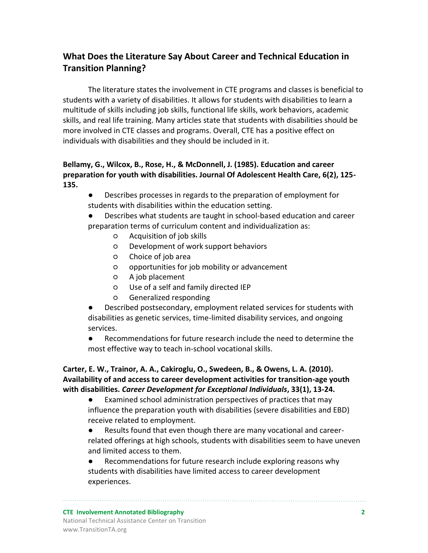## **What Does the Literature Say About Career and Technical Education in Transition Planning?**

The literature states the involvement in CTE programs and classes is beneficial to students with a variety of disabilities. It allows for students with disabilities to learn a multitude of skills including job skills, functional life skills, work behaviors, academic skills, and real life training. Many articles state that students with disabilities should be more involved in CTE classes and programs. Overall, CTE has a positive effect on individuals with disabilities and they should be included in it.

#### **Bellamy, G., Wilcox, B., Rose, H., & McDonnell, J. (1985). Education and career preparation for youth with disabilities. Journal Of Adolescent Health Care, 6(2), 125- 135.**

- Describes processes in regards to the preparation of employment for students with disabilities within the education setting.
- Describes what students are taught in school-based education and career preparation terms of curriculum content and individualization as:
	- Acquisition of job skills
	- Development of work support behaviors
	- Choice of job area
	- opportunities for job mobility or advancement
	- A job placement
	- Use of a self and family directed IEP
	- Generalized responding

Described postsecondary, employment related services for students with disabilities as genetic services, time-limited disability services, and ongoing services.

● Recommendations for future research include the need to determine the most effective way to teach in-school vocational skills.

#### **Carter, E. W., Trainor, A. A., Cakiroglu, O., Swedeen, B., & Owens, L. A. (2010). Availability of and access to career development activities for transition-age youth with disabilities.** *Career Development for Exceptional Individuals***, 33(1), 13-24.**

Examined school administration perspectives of practices that may influence the preparation youth with disabilities (severe disabilities and EBD) receive related to employment.

● Results found that even though there are many vocational and careerrelated offerings at high schools, students with disabilities seem to have uneven and limited access to them.

● Recommendations for future research include exploring reasons why students with disabilities have limited access to career development experiences.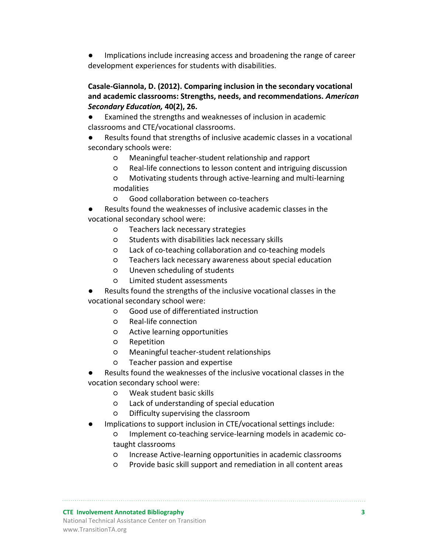Implications include increasing access and broadening the range of career development experiences for students with disabilities.

**Casale-Giannola, D. (2012). Comparing inclusion in the secondary vocational and academic classrooms: Strengths, needs, and recommendations.** *American Secondary Education,* **40(2), 26.**

● Examined the strengths and weaknesses of inclusion in academic classrooms and CTE/vocational classrooms.

Results found that strengths of inclusive academic classes in a vocational secondary schools were:

- Meaningful teacher-student relationship and rapport
- Real-life connections to lesson content and intriguing discussion
- Motivating students through active-learning and multi-learning modalities
- Good collaboration between co-teachers
- Results found the weaknesses of inclusive academic classes in the vocational secondary school were:
	- Teachers lack necessary strategies
	- Students with disabilities lack necessary skills
	- Lack of co-teaching collaboration and co-teaching models
	- Teachers lack necessary awareness about special education
	- Uneven scheduling of students
	- Limited student assessments
- Results found the strengths of the inclusive vocational classes in the vocational secondary school were:
	- Good use of differentiated instruction
	- Real-life connection
	- Active learning opportunities
	- Repetition
	- Meaningful teacher-student relationships
	- Teacher passion and expertise

Results found the weaknesses of the inclusive vocational classes in the vocation secondary school were:

- Weak student basic skills
- Lack of understanding of special education
- Difficulty supervising the classroom
- Implications to support inclusion in CTE/vocational settings include:
	- Implement co-teaching service-learning models in academic cotaught classrooms
	- Increase Active-learning opportunities in academic classrooms
	- Provide basic skill support and remediation in all content areas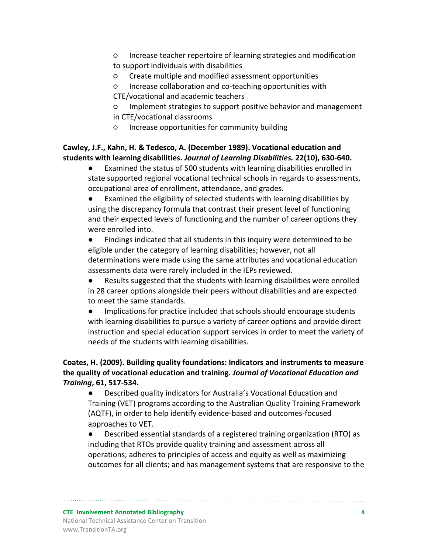- Increase teacher repertoire of learning strategies and modification to support individuals with disabilities
- Create multiple and modified assessment opportunities
- Increase collaboration and co-teaching opportunities with

CTE/vocational and academic teachers

- Implement strategies to support positive behavior and management in CTE/vocational classrooms
- Increase opportunities for community building

#### **Cawley, J.F., Kahn, H. & Tedesco, A. (December 1989). Vocational education and students with learning disabilities.** *Journal of Learning Disabilities.* **22(10), 630-640.**

Examined the status of 500 students with learning disabilities enrolled in state supported regional vocational technical schools in regards to assessments, occupational area of enrollment, attendance, and grades.

Examined the eligibility of selected students with learning disabilities by using the discrepancy formula that contrast their present level of functioning and their expected levels of functioning and the number of career options they were enrolled into.

● Findings indicated that all students in this inquiry were determined to be eligible under the category of learning disabilities; however, not all determinations were made using the same attributes and vocational education assessments data were rarely included in the IEPs reviewed.

● Results suggested that the students with learning disabilities were enrolled in 28 career options alongside their peers without disabilities and are expected to meet the same standards.

Implications for practice included that schools should encourage students with learning disabilities to pursue a variety of career options and provide direct instruction and special education support services in order to meet the variety of needs of the students with learning disabilities.

#### **Coates, H. (2009). Building quality foundations: Indicators and instruments to measure the quality of vocational education and training.** *Journal of Vocational Education and Training***, 61, 517-534.**

● Described quality indicators for Australia's Vocational Education and Training (VET) programs according to the Australian Quality Training Framework (AQTF), in order to help identify evidence-based and outcomes-focused approaches to VET.

● Described essential standards of a registered training organization (RTO) as including that RTOs provide quality training and assessment across all operations; adheres to principles of access and equity as well as maximizing outcomes for all clients; and has management systems that are responsive to the

**CTE Involvement Annotated Bibliography 4** National Technical Assistance Center on Transition www.TransitionTA.org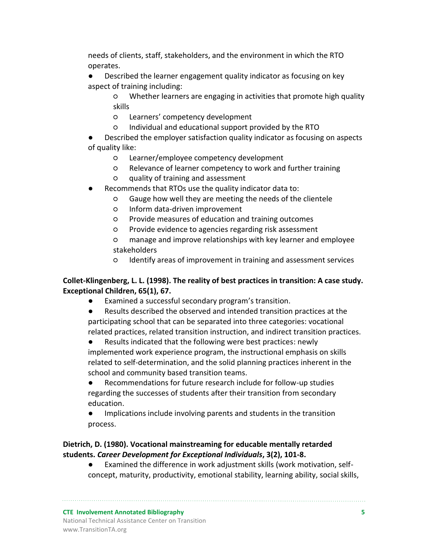needs of clients, staff, stakeholders, and the environment in which the RTO operates.

- Described the learner engagement quality indicator as focusing on key aspect of training including:
	- Whether learners are engaging in activities that promote high quality skills
	- Learners' competency development
	- Individual and educational support provided by the RTO

Described the employer satisfaction quality indicator as focusing on aspects of quality like:

- Learner/employee competency development
- Relevance of learner competency to work and further training
- quality of training and assessment
- Recommends that RTOs use the quality indicator data to:
	- Gauge how well they are meeting the needs of the clientele
	- Inform data-driven improvement
	- Provide measures of education and training outcomes
	- Provide evidence to agencies regarding risk assessment

○ manage and improve relationships with key learner and employee stakeholders

○ Identify areas of improvement in training and assessment services

#### **Collet-Klingenberg, L. L. (1998). The reality of best practices in transition: A case study. Exceptional Children, 65(1), 67.**

- Examined a successful secondary program's transition.
- Results described the observed and intended transition practices at the participating school that can be separated into three categories: vocational related practices, related transition instruction, and indirect transition practices.
- Results indicated that the following were best practices: newly implemented work experience program, the instructional emphasis on skills related to self-determination, and the solid planning practices inherent in the school and community based transition teams.
- Recommendations for future research include for follow-up studies regarding the successes of students after their transition from secondary education.
- Implications include involving parents and students in the transition process.

#### **Dietrich, D. (1980). Vocational mainstreaming for educable mentally retarded students.** *Career Development for Exceptional Individuals***, 3(2), 101-8.**

● Examined the difference in work adjustment skills (work motivation, selfconcept, maturity, productivity, emotional stability, learning ability, social skills,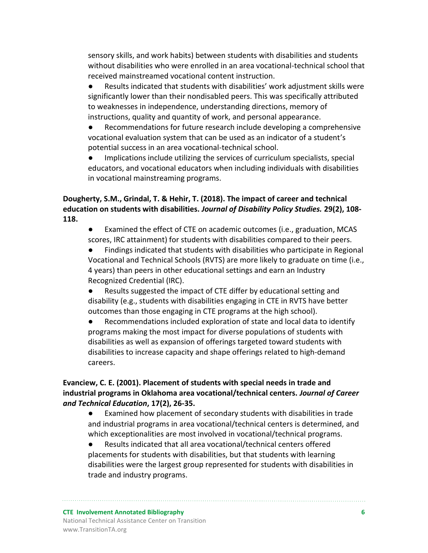sensory skills, and work habits) between students with disabilities and students without disabilities who were enrolled in an area vocational-technical school that received mainstreamed vocational content instruction.

● Results indicated that students with disabilities' work adjustment skills were significantly lower than their nondisabled peers. This was specifically attributed to weaknesses in independence, understanding directions, memory of instructions, quality and quantity of work, and personal appearance.

Recommendations for future research include developing a comprehensive vocational evaluation system that can be used as an indicator of a student's potential success in an area vocational-technical school.

● Implications include utilizing the services of curriculum specialists, special educators, and vocational educators when including individuals with disabilities in vocational mainstreaming programs.

#### **Dougherty, S.M., Grindal, T. & Hehir, T. (2018). The impact of career and technical education on students with disabilities.** *Journal of Disability Policy Studies.* **29(2), 108- 118.**

● Examined the effect of CTE on academic outcomes (i.e., graduation, MCAS scores, IRC attainment) for students with disabilities compared to their peers.

Findings indicated that students with disabilities who participate in Regional Vocational and Technical Schools (RVTS) are more likely to graduate on time (i.e., 4 years) than peers in other educational settings and earn an Industry Recognized Credential (IRC).

● Results suggested the impact of CTE differ by educational setting and disability (e.g., students with disabilities engaging in CTE in RVTS have better outcomes than those engaging in CTE programs at the high school).

● Recommendations included exploration of state and local data to identify programs making the most impact for diverse populations of students with disabilities as well as expansion of offerings targeted toward students with disabilities to increase capacity and shape offerings related to high-demand careers.

#### **Evanciew, C. E. (2001). Placement of students with special needs in trade and industrial programs in Oklahoma area vocational/technical centers.** *Journal of Career and Technical Education***, 17(2), 26-35.**

● Examined how placement of secondary students with disabilities in trade and industrial programs in area vocational/technical centers is determined, and which exceptionalities are most involved in vocational/technical programs.

● Results indicated that all area vocational/technical centers offered placements for students with disabilities, but that students with learning disabilities were the largest group represented for students with disabilities in trade and industry programs.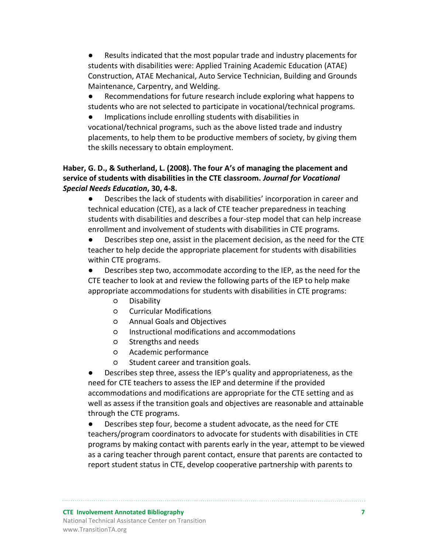Results indicated that the most popular trade and industry placements for students with disabilities were: Applied Training Academic Education (ATAE) Construction, ATAE Mechanical, Auto Service Technician, Building and Grounds Maintenance, Carpentry, and Welding.

Recommendations for future research include exploring what happens to students who are not selected to participate in vocational/technical programs.

Implications include enrolling students with disabilities in vocational/technical programs, such as the above listed trade and industry placements, to help them to be productive members of society, by giving them the skills necessary to obtain employment.

#### **Haber, G. D., & Sutherland, L. (2008). The four A's of managing the placement and service of students with disabilities in the CTE classroom.** *Journal for Vocational Special Needs Education***, 30, 4-8.**

● Describes the lack of students with disabilities' incorporation in career and technical education (CTE), as a lack of CTE teacher preparedness in teaching students with disabilities and describes a four-step model that can help increase enrollment and involvement of students with disabilities in CTE programs.

● Describes step one, assist in the placement decision, as the need for the CTE teacher to help decide the appropriate placement for students with disabilities within CTE programs.

● Describes step two, accommodate according to the IEP, as the need for the CTE teacher to look at and review the following parts of the IEP to help make appropriate accommodations for students with disabilities in CTE programs:

- Disability
- Curricular Modifications
- Annual Goals and Objectives
- Instructional modifications and accommodations
- Strengths and needs
- Academic performance
- Student career and transition goals.

Describes step three, assess the IEP's quality and appropriateness, as the need for CTE teachers to assess the IEP and determine if the provided accommodations and modifications are appropriate for the CTE setting and as well as assess if the transition goals and objectives are reasonable and attainable through the CTE programs.

● Describes step four, become a student advocate, as the need for CTE teachers/program coordinators to advocate for students with disabilities in CTE programs by making contact with parents early in the year, attempt to be viewed as a caring teacher through parent contact, ensure that parents are contacted to report student status in CTE, develop cooperative partnership with parents to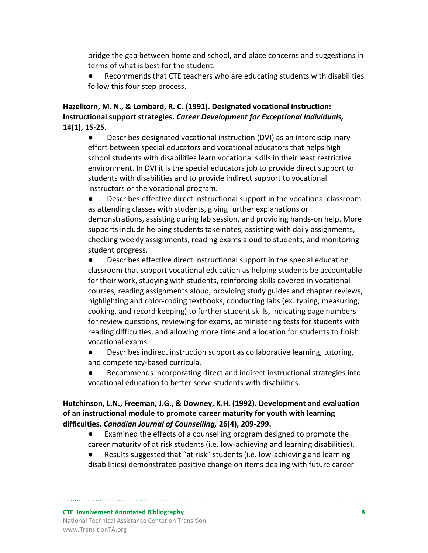bridge the gap between home and school, and place concerns and suggestions in terms of what is best for the student.

Recommends that CTE teachers who are educating students with disabilities follow this four step process.

#### **Hazelkorn, M. N., & Lombard, R. C. (1991). Designated vocational instruction: Instructional support strategies.** *Career Development for Exceptional Individuals,* **14(1), 15-25.**

● Describes designated vocational instruction (DVI) as an interdisciplinary effort between special educators and vocational educators that helps high school students with disabilities learn vocational skills in their least restrictive environment. In DVI it is the special educators job to provide direct support to students with disabilities and to provide indirect support to vocational instructors or the vocational program.

● Describes effective direct instructional support in the vocational classroom as attending classes with students, giving further explanations or demonstrations, assisting during lab session, and providing hands-on help. More supports include helping students take notes, assisting with daily assignments, checking weekly assignments, reading exams aloud to students, and monitoring student progress.

● Describes effective direct instructional support in the special education classroom that support vocational education as helping students be accountable for their work, studying with students, reinforcing skills covered in vocational courses, reading assignments aloud, providing study guides and chapter reviews, highlighting and color-coding textbooks, conducting labs (ex. typing, measuring, cooking, and record keeping) to further student skills, indicating page numbers for review questions, reviewing for exams, administering tests for students with reading difficulties, and allowing more time and a location for students to finish vocational exams.

- Describes indirect instruction support as collaborative learning, tutoring, and competency-based curricula.
- Recommends incorporating direct and indirect instructional strategies into vocational education to better serve students with disabilities.

#### **Hutchinson, L.N., Freeman, J.G., & Downey, K.H. (1992). Development and evaluation of an instructional module to promote career maturity for youth with learning difficulties.** *Canadian Journal of Counselling,* **26(4), 209-299.**

- Examined the effects of a counselling program designed to promote the career maturity of at risk students (i.e. low-achieving and learning disabilities).
- Results suggested that "at risk" students (i.e. low-achieving and learning disabilities) demonstrated positive change on items dealing with future career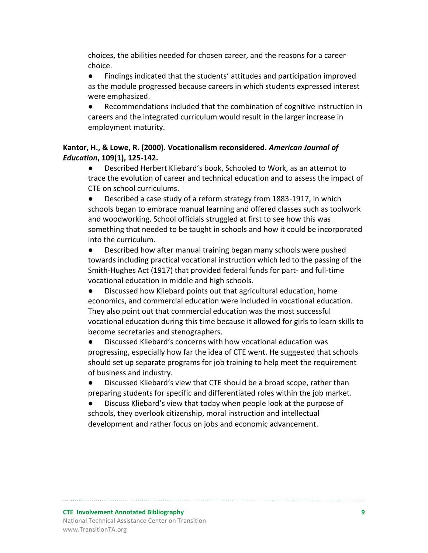choices, the abilities needed for chosen career, and the reasons for a career choice.

● Findings indicated that the students' attitudes and participation improved as the module progressed because careers in which students expressed interest were emphasized.

Recommendations included that the combination of cognitive instruction in careers and the integrated curriculum would result in the larger increase in employment maturity.

#### **Kantor, H., & Lowe, R. (2000). Vocationalism reconsidered.** *American Journal of Education***, 109(1), 125-142.**

● Described Herbert Kliebard's book, Schooled to Work, as an attempt to trace the evolution of career and technical education and to assess the impact of CTE on school curriculums.

● Described a case study of a reform strategy from 1883-1917, in which schools began to embrace manual learning and offered classes such as toolwork and woodworking. School officials struggled at first to see how this was something that needed to be taught in schools and how it could be incorporated into the curriculum.

● Described how after manual training began many schools were pushed towards including practical vocational instruction which led to the passing of the Smith-Hughes Act (1917) that provided federal funds for part- and full-time vocational education in middle and high schools.

● Discussed how Kliebard points out that agricultural education, home economics, and commercial education were included in vocational education. They also point out that commercial education was the most successful vocational education during this time because it allowed for girls to learn skills to become secretaries and stenographers.

● Discussed Kliebard's concerns with how vocational education was progressing, especially how far the idea of CTE went. He suggested that schools should set up separate programs for job training to help meet the requirement of business and industry.

● Discussed Kliebard's view that CTE should be a broad scope, rather than preparing students for specific and differentiated roles within the job market.

Discuss Kliebard's view that today when people look at the purpose of schools, they overlook citizenship, moral instruction and intellectual development and rather focus on jobs and economic advancement.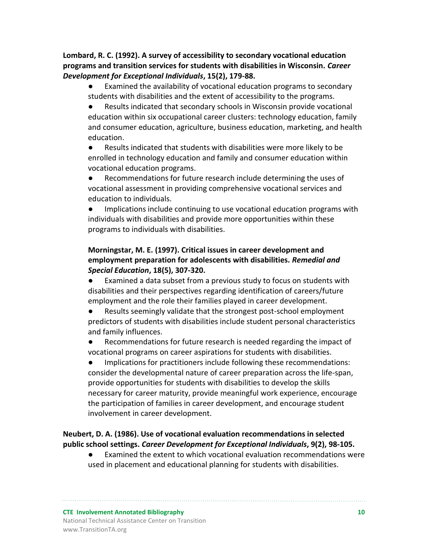**Lombard, R. C. (1992). A survey of accessibility to secondary vocational education programs and transition services for students with disabilities in Wisconsin.** *Career Development for Exceptional Individuals***, 15(2), 179-88.**

Examined the availability of vocational education programs to secondary students with disabilities and the extent of accessibility to the programs.

● Results indicated that secondary schools in Wisconsin provide vocational education within six occupational career clusters: technology education, family and consumer education, agriculture, business education, marketing, and health education.

Results indicated that students with disabilities were more likely to be enrolled in technology education and family and consumer education within vocational education programs.

● Recommendations for future research include determining the uses of vocational assessment in providing comprehensive vocational services and education to individuals.

● Implications include continuing to use vocational education programs with individuals with disabilities and provide more opportunities within these programs to individuals with disabilities.

#### **Morningstar, M. E. (1997). Critical issues in career development and employment preparation for adolescents with disabilities.** *Remedial and Special Education***, 18(5), 307-320.**

Examined a data subset from a previous study to focus on students with disabilities and their perspectives regarding identification of careers/future employment and the role their families played in career development.

Results seemingly validate that the strongest post-school employment predictors of students with disabilities include student personal characteristics and family influences.

● Recommendations for future research is needed regarding the impact of vocational programs on career aspirations for students with disabilities.

● Implications for practitioners include following these recommendations: consider the developmental nature of career preparation across the life-span, provide opportunities for students with disabilities to develop the skills necessary for career maturity, provide meaningful work experience, encourage the participation of families in career development, and encourage student involvement in career development.

#### **Neubert, D. A. (1986). Use of vocational evaluation recommendations in selected public school settings.** *Career Development for Exceptional Individuals***, 9(2), 98-105.**

● Examined the extent to which vocational evaluation recommendations were used in placement and educational planning for students with disabilities.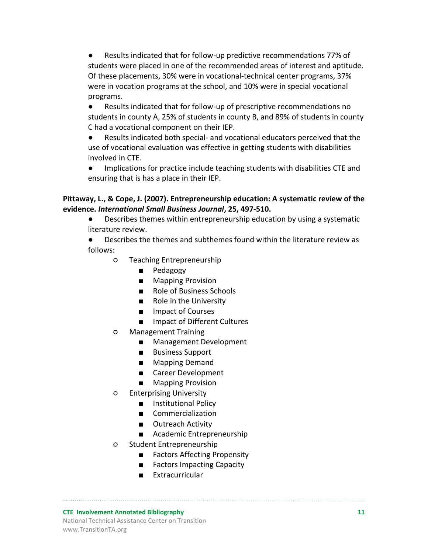● Results indicated that for follow-up predictive recommendations 77% of students were placed in one of the recommended areas of interest and aptitude. Of these placements, 30% were in vocational-technical center programs, 37% were in vocation programs at the school, and 10% were in special vocational programs.

● Results indicated that for follow-up of prescriptive recommendations no students in county A, 25% of students in county B, and 89% of students in county C had a vocational component on their IEP.

● Results indicated both special- and vocational educators perceived that the use of vocational evaluation was effective in getting students with disabilities involved in CTE.

● Implications for practice include teaching students with disabilities CTE and ensuring that is has a place in their IEP.

#### **Pittaway, L., & Cope, J. (2007). Entrepreneurship education: A systematic review of the evidence.** *International Small Business Journal***, 25, 497-510.**

● Describes themes within entrepreneurship education by using a systematic literature review.

● Describes the themes and subthemes found within the literature review as follows:

- Teaching Entrepreneurship
	- Pedagogy
	- Mapping Provision
	- Role of Business Schools
	- Role in the University
	- Impact of Courses
	- Impact of Different Cultures
- Management Training
	- Management Development
	- Business Support
	- Mapping Demand
	- Career Development
	- Mapping Provision
- Enterprising University
	- Institutional Policy
	- Commercialization
	- Outreach Activity
	- Academic Entrepreneurship
- Student Entrepreneurship
	- Factors Affecting Propensity
	- Factors Impacting Capacity
	- Extracurricular

#### **CTE Involvement Annotated Bibliography 11** National Technical Assistance Center on Transition www.TransitionTA.org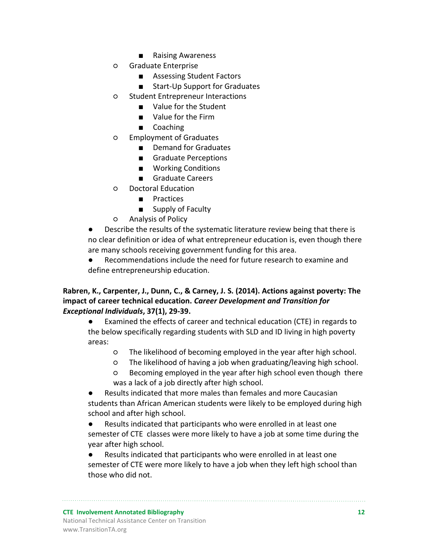- Raising Awareness
- Graduate Enterprise
	- Assessing Student Factors
	- Start-Up Support for Graduates
- Student Entrepreneur Interactions
	- Value for the Student
	- Value for the Firm
	- Coaching
- Employment of Graduates
	- Demand for Graduates
	- Graduate Perceptions
	- Working Conditions
	- Graduate Careers
- Doctoral Education
	- Practices
	- Supply of Faculty
- Analysis of Policy

Describe the results of the systematic literature review being that there is no clear definition or idea of what entrepreneur education is, even though there are many schools receiving government funding for this area.

● Recommendations include the need for future research to examine and define entrepreneurship education.

#### **Rabren, K., Carpenter, J., Dunn, C., & Carney, J. S. (2014). Actions against poverty: The impact of career technical education.** *Career Development and Transition for Exceptional Individuals***, 37(1), 29-39.**

● Examined the effects of career and technical education (CTE) in regards to the below specifically regarding students with SLD and ID living in high poverty areas:

- The likelihood of becoming employed in the year after high school.
- The likelihood of having a job when graduating/leaving high school.
- Becoming employed in the year after high school even though there was a lack of a job directly after high school.

Results indicated that more males than females and more Caucasian students than African American students were likely to be employed during high school and after high school.

● Results indicated that participants who were enrolled in at least one semester of CTE classes were more likely to have a job at some time during the year after high school.

● Results indicated that participants who were enrolled in at least one semester of CTE were more likely to have a job when they left high school than those who did not.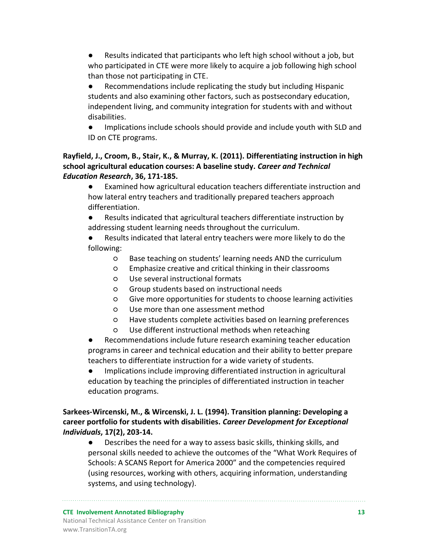Results indicated that participants who left high school without a job, but who participated in CTE were more likely to acquire a job following high school than those not participating in CTE.

Recommendations include replicating the study but including Hispanic students and also examining other factors, such as postsecondary education, independent living, and community integration for students with and without disabilities.

● Implications include schools should provide and include youth with SLD and ID on CTE programs.

#### **Rayfield, J., Croom, B., Stair, K., & Murray, K. (2011). Differentiating instruction in high school agricultural education courses: A baseline study.** *Career and Technical Education Research***, 36, 171-185.**

● Examined how agricultural education teachers differentiate instruction and how lateral entry teachers and traditionally prepared teachers approach differentiation.

● Results indicated that agricultural teachers differentiate instruction by addressing student learning needs throughout the curriculum.

Results indicated that lateral entry teachers were more likely to do the following:

- Base teaching on students' learning needs AND the curriculum
- Emphasize creative and critical thinking in their classrooms
- Use several instructional formats
- Group students based on instructional needs
- Give more opportunities for students to choose learning activities
- Use more than one assessment method
- Have students complete activities based on learning preferences
- Use different instructional methods when reteaching
- Recommendations include future research examining teacher education programs in career and technical education and their ability to better prepare teachers to differentiate instruction for a wide variety of students.

● Implications include improving differentiated instruction in agricultural education by teaching the principles of differentiated instruction in teacher education programs.

**Sarkees-Wircenski, M., & Wircenski, J. L. (1994). Transition planning: Developing a career portfolio for students with disabilities.** *Career Development for Exceptional Individuals***, 17(2), 203-14.**

● Describes the need for a way to assess basic skills, thinking skills, and personal skills needed to achieve the outcomes of the "What Work Requires of Schools: A SCANS Report for America 2000" and the competencies required (using resources, working with others, acquiring information, understanding systems, and using technology).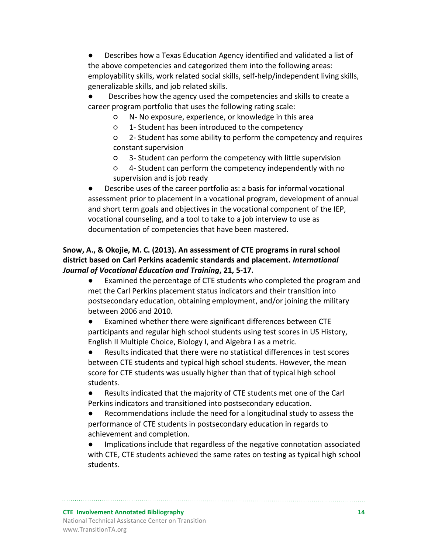- Describes how a Texas Education Agency identified and validated a list of the above competencies and categorized them into the following areas: employability skills, work related social skills, self-help/independent living skills, generalizable skills, and job related skills.
- Describes how the agency used the competencies and skills to create a career program portfolio that uses the following rating scale:
	- N- No exposure, experience, or knowledge in this area
	- 1- Student has been introduced to the competency
	- 2- Student has some ability to perform the competency and requires constant supervision
	- 3- Student can perform the competency with little supervision
	- 4- Student can perform the competency independently with no supervision and is job ready

Describe uses of the career portfolio as: a basis for informal vocational assessment prior to placement in a vocational program, development of annual and short term goals and objectives in the vocational component of the IEP, vocational counseling, and a tool to take to a job interview to use as documentation of competencies that have been mastered.

#### **Snow, A., & Okojie, M. C. (2013). An assessment of CTE programs in rural school district based on Carl Perkins academic standards and placement.** *International Journal of Vocational Education and Training***, 21, 5-17.**

● Examined the percentage of CTE students who completed the program and met the Carl Perkins placement status indicators and their transition into postsecondary education, obtaining employment, and/or joining the military between 2006 and 2010.

● Examined whether there were significant differences between CTE participants and regular high school students using test scores in US History, English II Multiple Choice, Biology I, and Algebra I as a metric.

● Results indicated that there were no statistical differences in test scores between CTE students and typical high school students. However, the mean score for CTE students was usually higher than that of typical high school students.

● Results indicated that the majority of CTE students met one of the Carl Perkins indicators and transitioned into postsecondary education.

● Recommendations include the need for a longitudinal study to assess the performance of CTE students in postsecondary education in regards to achievement and completion.

● Implications include that regardless of the negative connotation associated with CTE, CTE students achieved the same rates on testing as typical high school students.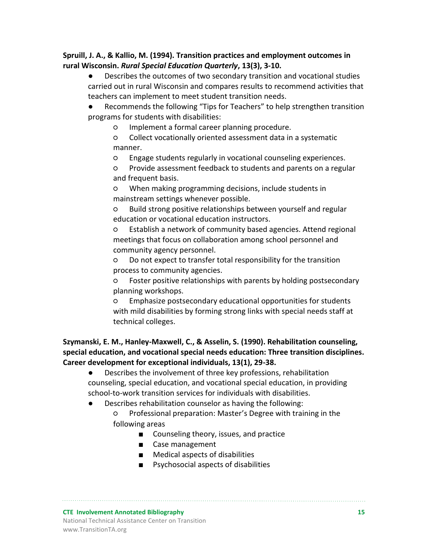#### **Spruill, J. A., & Kallio, M. (1994). Transition practices and employment outcomes in rural Wisconsin.** *Rural Special Education Quarterly***, 13(3), 3-10.**

- Describes the outcomes of two secondary transition and vocational studies carried out in rural Wisconsin and compares results to recommend activities that teachers can implement to meet student transition needs.
- Recommends the following "Tips for Teachers" to help strengthen transition programs for students with disabilities:
	- Implement a formal career planning procedure.
	- Collect vocationally oriented assessment data in a systematic manner.
	- Engage students regularly in vocational counseling experiences.
	- Provide assessment feedback to students and parents on a regular and frequent basis.
	- When making programming decisions, include students in mainstream settings whenever possible.
	- Build strong positive relationships between yourself and regular education or vocational education instructors.
	- Establish a network of community based agencies. Attend regional meetings that focus on collaboration among school personnel and community agency personnel.
	- Do not expect to transfer total responsibility for the transition process to community agencies.
	- Foster positive relationships with parents by holding postsecondary planning workshops.
	- Emphasize postsecondary educational opportunities for students with mild disabilities by forming strong links with special needs staff at technical colleges.

#### **Szymanski, E. M., Hanley-Maxwell, C., & Asselin, S. (1990). Rehabilitation counseling, special education, and vocational special needs education: Three transition disciplines. Career development for exceptional individuals, 13(1), 29-38.**

- Describes the involvement of three key professions, rehabilitation counseling, special education, and vocational special education, in providing school-to-work transition services for individuals with disabilities.
- Describes rehabilitation counselor as having the following:
	- Professional preparation: Master's Degree with training in the following areas
		- Counseling theory, issues, and practice
		- Case management
		- Medical aspects of disabilities
		- Psychosocial aspects of disabilities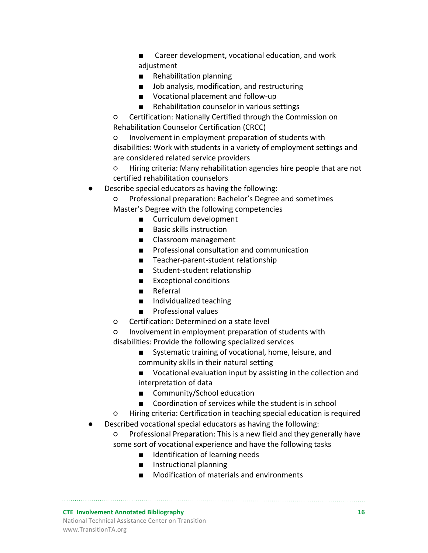■ Career development, vocational education, and work adjustment

- Rehabilitation planning
- Job analysis, modification, and restructuring
- Vocational placement and follow-up
- Rehabilitation counselor in various settings

○ Certification: Nationally Certified through the Commission on Rehabilitation Counselor Certification (CRCC)

○ Involvement in employment preparation of students with disabilities: Work with students in a variety of employment settings and are considered related service providers

○ Hiring criteria: Many rehabilitation agencies hire people that are not certified rehabilitation counselors

Describe special educators as having the following:

Professional preparation: Bachelor's Degree and sometimes Master's Degree with the following competencies

- Curriculum development
- Basic skills instruction
- Classroom management
- Professional consultation and communication
- Teacher-parent-student relationship
- Student-student relationship
- Exceptional conditions
- Referral
- Individualized teaching
- Professional values
- Certification: Determined on a state level
- Involvement in employment preparation of students with disabilities: Provide the following specialized services
	- Systematic training of vocational, home, leisure, and community skills in their natural setting
	- Vocational evaluation input by assisting in the collection and interpretation of data
	- Community/School education
	- Coordination of services while the student is in school

○ Hiring criteria: Certification in teaching special education is required

- Described vocational special educators as having the following:
	- Professional Preparation: This is a new field and they generally have some sort of vocational experience and have the following tasks
		- Identification of learning needs
		- Instructional planning
		- Modification of materials and environments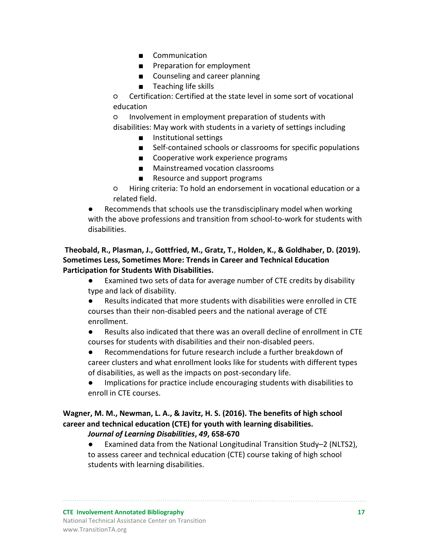- Communication
- Preparation for employment
- Counseling and career planning
- Teaching life skills

○ Certification: Certified at the state level in some sort of vocational education

○ Involvement in employment preparation of students with disabilities: May work with students in a variety of settings including

- Institutional settings
- Self-contained schools or classrooms for specific populations
- Cooperative work experience programs
- Mainstreamed vocation classrooms
- Resource and support programs

○ Hiring criteria: To hold an endorsement in vocational education or a related field.

Recommends that schools use the transdisciplinary model when working with the above professions and transition from school-to-work for students with disabilities.

#### **Theobald, R., Plasman, J., Gottfried, M., Gratz, T., Holden, K., & Goldhaber, D. (2019). Sometimes Less, Sometimes More: Trends in Career and Technical Education Participation for Students With Disabilities.**

● Examined two sets of data for average number of CTE credits by disability type and lack of disability.

● Results indicated that more students with disabilities were enrolled in CTE courses than their non-disabled peers and the national average of CTE enrollment.

● Results also indicated that there was an overall decline of enrollment in CTE courses for students with disabilities and their non-disabled peers.

● Recommendations for future research include a further breakdown of career clusters and what enrollment looks like for students with different types of disabilities, as well as the impacts on post-secondary life.

● Implications for practice include encouraging students with disabilities to enroll in CTE courses.

#### **Wagner, M. M., Newman, L. A., & Javitz, H. S. (2016). The benefits of high school career and technical education (CTE) for youth with learning disabilities.**  *Journal of Learning Disabilities***,** *49***, 658-670**

● Examined data from the National Longitudinal Transition Study–2 (NLTS2), to assess career and technical education (CTE) course taking of high school students with learning disabilities.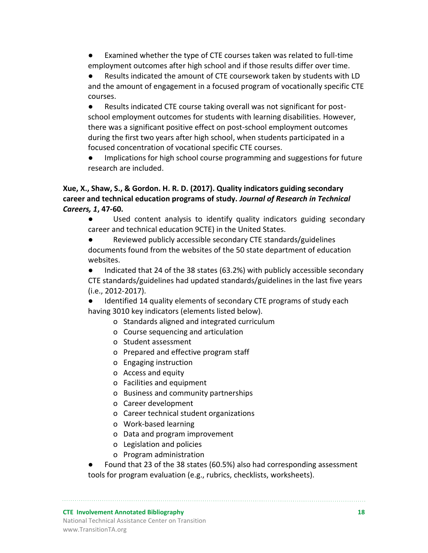Examined whether the type of CTE courses taken was related to full-time employment outcomes after high school and if those results differ over time.

Results indicated the amount of CTE coursework taken by students with LD and the amount of engagement in a focused program of vocationally specific CTE courses.

● Results indicated CTE course taking overall was not significant for postschool employment outcomes for students with learning disabilities. However, there was a significant positive effect on post-school employment outcomes during the first two years after high school, when students participated in a focused concentration of vocational specific CTE courses.

● Implications for high school course programming and suggestions for future research are included.

#### **Xue, X., Shaw, S., & Gordon. H. R. D. (2017). Quality indicators guiding secondary career and technical education programs of study.** *Journal of Research in Technical Careers, 1***, 47-60.**

● Used content analysis to identify quality indicators guiding secondary career and technical education 9CTE) in the United States.

Reviewed publicly accessible secondary CTE standards/guidelines documents found from the websites of the 50 state department of education websites.

● Indicated that 24 of the 38 states (63.2%) with publicly accessible secondary CTE standards/guidelines had updated standards/guidelines in the last five years (i.e., 2012-2017).

● Identified 14 quality elements of secondary CTE programs of study each having 3010 key indicators (elements listed below).

- o Standards aligned and integrated curriculum
- o Course sequencing and articulation
- o Student assessment
- o Prepared and effective program staff
- o Engaging instruction
- o Access and equity
- o Facilities and equipment
- o Business and community partnerships
- o Career development
- o Career technical student organizations
- o Work-based learning
- o Data and program improvement
- o Legislation and policies
- o Program administration

Found that 23 of the 38 states (60.5%) also had corresponding assessment tools for program evaluation (e.g., rubrics, checklists, worksheets).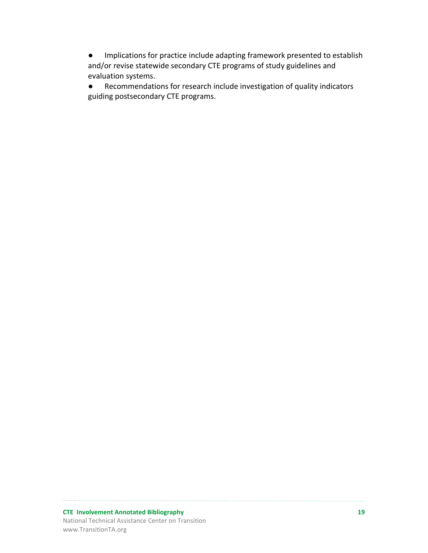● Implications for practice include adapting framework presented to establish and/or revise statewide secondary CTE programs of study guidelines and evaluation systems.

● Recommendations for research include investigation of quality indicators guiding postsecondary CTE programs.